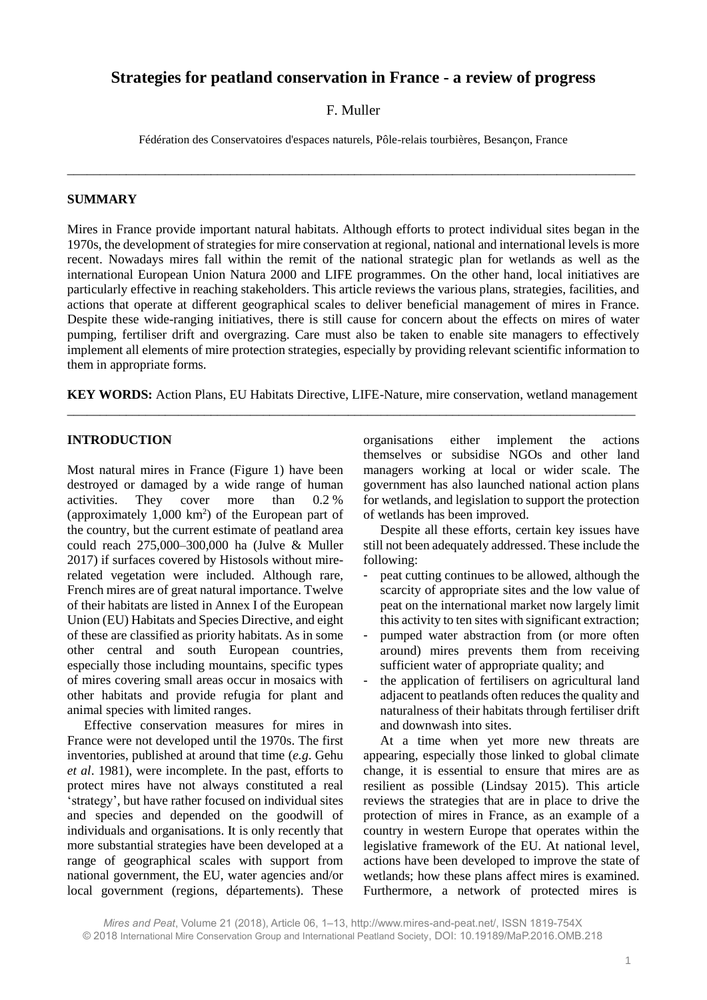# **Strategies for peatland conservation in France - a review of progress**

# F. Muller

Fédération des Conservatoires d'espaces naturels, Pôle-relais tourbières, Besançon, France

\_\_\_\_\_\_\_\_\_\_\_\_\_\_\_\_\_\_\_\_\_\_\_\_\_\_\_\_\_\_\_\_\_\_\_\_\_\_\_\_\_\_\_\_\_\_\_\_\_\_\_\_\_\_\_\_\_\_\_\_\_\_\_\_\_\_\_\_\_\_\_\_\_\_\_\_\_\_\_\_\_\_\_\_\_\_\_

# **SUMMARY**

Mires in France provide important natural habitats. Although efforts to protect individual sites began in the 1970s, the development of strategies for mire conservation at regional, national and international levels is more recent. Nowadays mires fall within the remit of the national strategic plan for wetlands as well as the international European Union Natura 2000 and LIFE programmes. On the other hand, local initiatives are particularly effective in reaching stakeholders. This article reviews the various plans, strategies, facilities, and actions that operate at different geographical scales to deliver beneficial management of mires in France. Despite these wide-ranging initiatives, there is still cause for concern about the effects on mires of water pumping, fertiliser drift and overgrazing. Care must also be taken to enable site managers to effectively implement all elements of mire protection strategies, especially by providing relevant scientific information to them in appropriate forms.

**KEY WORDS:** Action Plans, EU Habitats Directive, LIFE-Nature, mire conservation, wetland management \_\_\_\_\_\_\_\_\_\_\_\_\_\_\_\_\_\_\_\_\_\_\_\_\_\_\_\_\_\_\_\_\_\_\_\_\_\_\_\_\_\_\_\_\_\_\_\_\_\_\_\_\_\_\_\_\_\_\_\_\_\_\_\_\_\_\_\_\_\_\_\_\_\_\_\_\_\_\_\_\_\_\_\_\_\_\_

# **INTRODUCTION**

Most natural mires in France (Figure 1) have been destroyed or damaged by a wide range of human activities. They cover more than 0.2 % (approximately 1,000 km<sup>2</sup> ) of the European part of the country, but the current estimate of peatland area could reach 275,000–300,000 ha (Julve & Muller 2017) if surfaces covered by Histosols without mirerelated vegetation were included. Although rare, French mires are of great natural importance. Twelve of their habitats are listed in Annex I of the European Union (EU) Habitats and Species Directive, and eight of these are classified as priority habitats. As in some other central and south European countries, especially those including mountains, specific types of mires covering small areas occur in mosaics with other habitats and provide refugia for plant and animal species with limited ranges.

Effective conservation measures for mires in France were not developed until the 1970s. The first inventories, published at around that time (*e.g*. Gehu *et al*. 1981), were incomplete. In the past, efforts to protect mires have not always constituted a real 'strategy', but have rather focused on individual sites and species and depended on the goodwill of individuals and organisations. It is only recently that more substantial strategies have been developed at a range of geographical scales with support from national government, the EU, water agencies and/or local government (regions, départements). These

organisations either implement the actions themselves or subsidise NGOs and other land managers working at local or wider scale. The government has also launched national action plans for wetlands, and legislation to support the protection of wetlands has been improved.

Despite all these efforts, certain key issues have still not been adequately addressed. These include the following:

- peat cutting continues to be allowed, although the scarcity of appropriate sites and the low value of peat on the international market now largely limit this activity to ten sites with significant extraction;
- pumped water abstraction from (or more often around) mires prevents them from receiving sufficient water of appropriate quality; and
- the application of fertilisers on agricultural land adjacent to peatlands often reduces the quality and naturalness of their habitats through fertiliser drift and downwash into sites.

At a time when yet more new threats are appearing, especially those linked to global climate change, it is essential to ensure that mires are as resilient as possible (Lindsay 2015). This article reviews the strategies that are in place to drive the protection of mires in France, as an example of a country in western Europe that operates within the legislative framework of the EU. At national level, actions have been developed to improve the state of wetlands; how these plans affect mires is examined. Furthermore, a network of protected mires is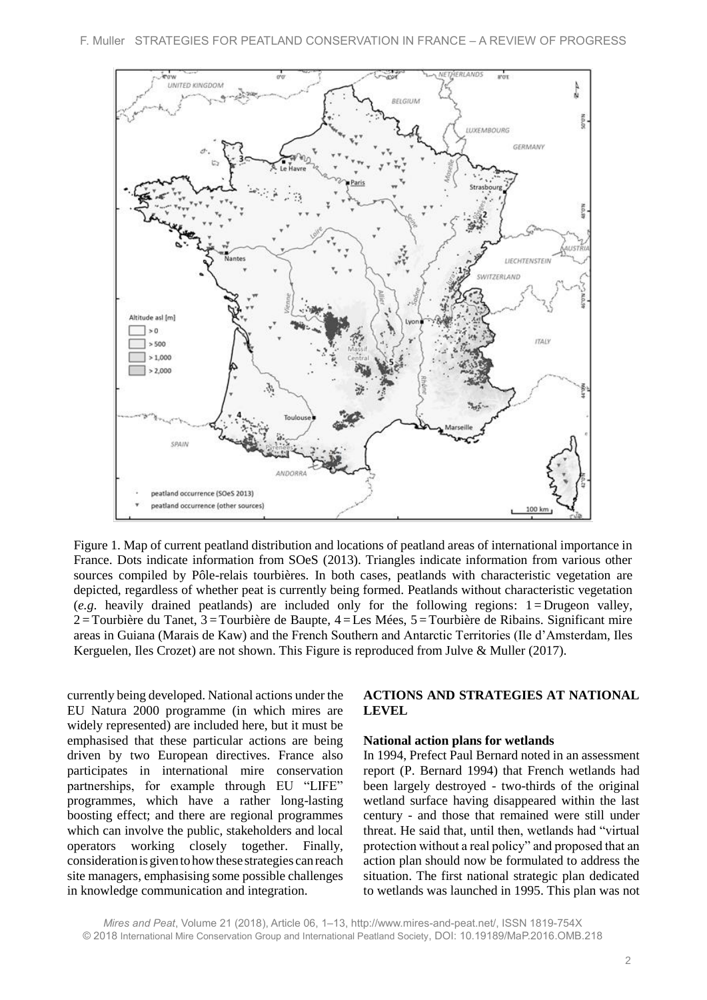

Figure 1. Map of current peatland distribution and locations of peatland areas of international importance in France. Dots indicate information from SOeS (2013). Triangles indicate information from various other sources compiled by Pôle-relais tourbières. In both cases, peatlands with characteristic vegetation are depicted, regardless of whether peat is currently being formed. Peatlands without characteristic vegetation  $(e.g.,$  heavily drained peatlands) are included only for the following regions:  $1 = Drugen$  valley,  $2 =$ Tourbière du Tanet,  $3 =$ Tourbière de Baupte,  $4 =$ Les Mées,  $5 =$ Tourbière de Ribains. Significant mire areas in Guiana (Marais de Kaw) and the French Southern and Antarctic Territories (Ile d'Amsterdam, Iles Kerguelen, Iles Crozet) are not shown. This Figure is reproduced from Julve & Muller (2017).

currently being developed. National actions under the EU Natura 2000 programme (in which mires are widely represented) are included here, but it must be emphasised that these particular actions are being driven by two European directives. France also participates in international mire conservation partnerships, for example through EU "LIFE" programmes, which have a rather long-lasting boosting effect; and there are regional programmes which can involve the public, stakeholders and local operators working closely together. Finally, considerationisgiven tohowthese strategies canreach site managers, emphasising some possible challenges in knowledge communication and integration.

# **ACTIONS AND STRATEGIES AT NATIONAL LEVEL**

#### **National action plans for wetlands**

In 1994, Prefect Paul Bernard noted in an assessment report (P. Bernard 1994) that French wetlands had been largely destroyed - two-thirds of the original wetland surface having disappeared within the last century - and those that remained were still under threat. He said that, until then, wetlands had "virtual protection without a real policy" and proposed that an action plan should now be formulated to address the situation. The first national strategic plan dedicated to wetlands was launched in 1995. This plan was not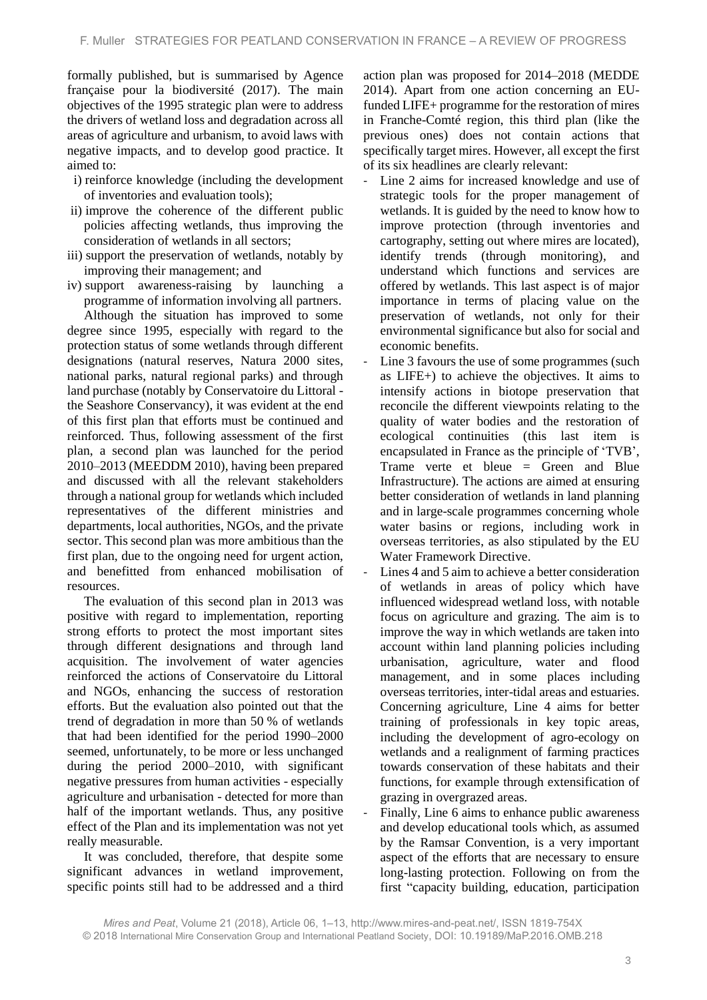formally published, but is summarised by Agence française pour la biodiversité (2017). The main objectives of the 1995 strategic plan were to address the drivers of wetland loss and degradation across all areas of agriculture and urbanism, to avoid laws with negative impacts, and to develop good practice. It aimed to:

- i) reinforce knowledge (including the development of inventories and evaluation tools);
- ii) improve the coherence of the different public policies affecting wetlands, thus improving the consideration of wetlands in all sectors;
- iii) support the preservation of wetlands, notably by improving their management; and
- iv) support awareness-raising by launching a programme of information involving all partners.

Although the situation has improved to some degree since 1995, especially with regard to the protection status of some wetlands through different designations (natural reserves, Natura 2000 sites, national parks, natural regional parks) and through land purchase (notably by Conservatoire du Littoral the Seashore Conservancy), it was evident at the end of this first plan that efforts must be continued and reinforced. Thus, following assessment of the first plan, a second plan was launched for the period 2010–2013 (MEEDDM 2010), having been prepared and discussed with all the relevant stakeholders through a national group for wetlands which included representatives of the different ministries and departments, local authorities, NGOs, and the private sector. This second plan was more ambitious than the first plan, due to the ongoing need for urgent action, and benefitted from enhanced mobilisation of resources.

The evaluation of this second plan in 2013 was positive with regard to implementation, reporting strong efforts to protect the most important sites through different designations and through land acquisition. The involvement of water agencies reinforced the actions of Conservatoire du Littoral and NGOs, enhancing the success of restoration efforts. But the evaluation also pointed out that the trend of degradation in more than 50 % of wetlands that had been identified for the period 1990–2000 seemed, unfortunately, to be more or less unchanged during the period 2000–2010, with significant negative pressures from human activities - especially agriculture and urbanisation - detected for more than half of the important wetlands. Thus, any positive effect of the Plan and its implementation was not yet really measurable.

It was concluded, therefore, that despite some significant advances in wetland improvement, specific points still had to be addressed and a third action plan was proposed for 2014–2018 (MEDDE 2014). Apart from one action concerning an EUfunded LIFE+ programme for the restoration of mires in Franche-Comté region, this third plan (like the previous ones) does not contain actions that specifically target mires. However, all except the first of its six headlines are clearly relevant:

- Line 2 aims for increased knowledge and use of strategic tools for the proper management of wetlands. It is guided by the need to know how to improve protection (through inventories and cartography, setting out where mires are located), identify trends (through monitoring), and understand which functions and services are offered by wetlands. This last aspect is of major importance in terms of placing value on the preservation of wetlands, not only for their environmental significance but also for social and economic benefits.
- Line 3 favours the use of some programmes (such as LIFE+) to achieve the objectives. It aims to intensify actions in biotope preservation that reconcile the different viewpoints relating to the quality of water bodies and the restoration of ecological continuities (this last item is encapsulated in France as the principle of 'TVB', Trame verte et bleue = Green and Blue Infrastructure). The actions are aimed at ensuring better consideration of wetlands in land planning and in large-scale programmes concerning whole water basins or regions, including work in overseas territories, as also stipulated by the EU Water Framework Directive.
- Lines 4 and 5 aim to achieve a better consideration of wetlands in areas of policy which have influenced widespread wetland loss, with notable focus on agriculture and grazing. The aim is to improve the way in which wetlands are taken into account within land planning policies including urbanisation, agriculture, water and flood management, and in some places including overseas territories, inter-tidal areas and estuaries. Concerning agriculture, Line 4 aims for better training of professionals in key topic areas, including the development of agro-ecology on wetlands and a realignment of farming practices towards conservation of these habitats and their functions, for example through extensification of grazing in overgrazed areas.
- Finally, Line 6 aims to enhance public awareness and develop educational tools which, as assumed by the Ramsar Convention, is a very important aspect of the efforts that are necessary to ensure long-lasting protection. Following on from the first "capacity building, education, participation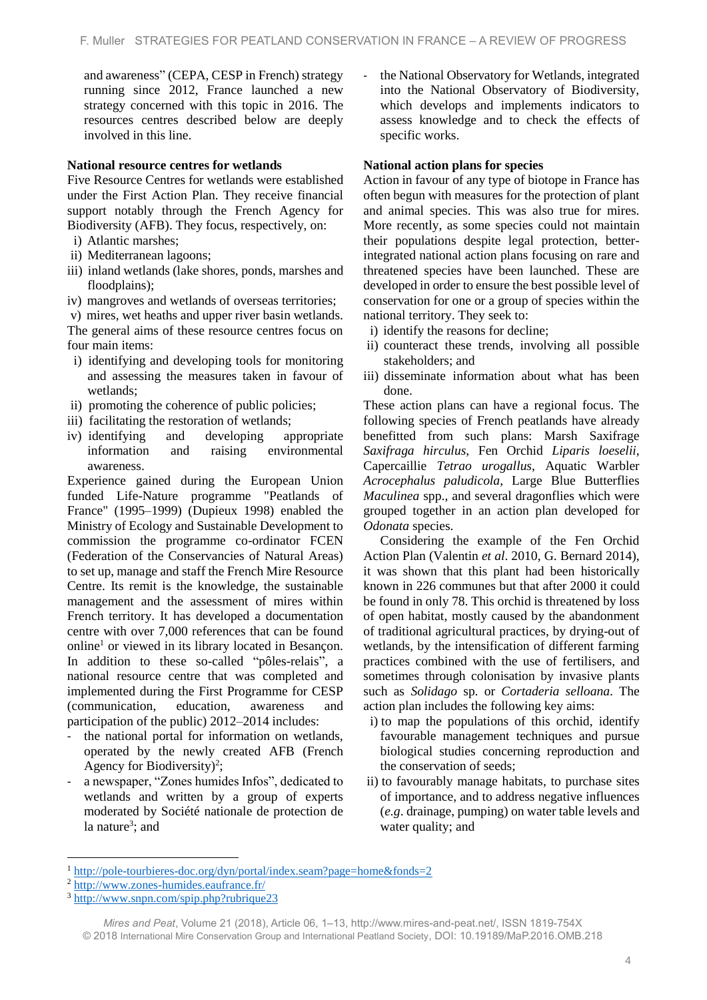and awareness" (CEPA, CESP in French) strategy running since 2012, France launched a new strategy concerned with this topic in 2016. The resources centres described below are deeply involved in this line.

### **National resource centres for wetlands**

Five Resource Centres for wetlands were established under the First Action Plan. They receive financial support notably through the French Agency for Biodiversity (AFB). They focus, respectively, on:

- i) Atlantic marshes;
- ii) Mediterranean lagoons;
- iii) inland wetlands (lake shores, ponds, marshes and floodplains);
- iv) mangroves and wetlands of overseas territories;

v) mires, wet heaths and upper river basin wetlands. The general aims of these resource centres focus on four main items:

- i) identifying and developing tools for monitoring and assessing the measures taken in favour of wetlands;
- ii) promoting the coherence of public policies;
- iii) facilitating the restoration of wetlands;
- iv) identifying and developing appropriate information and raising environmental awareness.

Experience gained during the European Union funded Life-Nature programme "Peatlands of France" (1995–1999) (Dupieux 1998) enabled the Ministry of Ecology and Sustainable Development to commission the programme co-ordinator FCEN (Federation of the Conservancies of Natural Areas) to set up, manage and staff the French Mire Resource Centre. Its remit is the knowledge, the sustainable management and the assessment of mires within French territory. It has developed a documentation centre with over 7,000 references that can be found online<sup>1</sup> or viewed in its library located in Besançon. In addition to these so-called "pôles-relais", a national resource centre that was completed and implemented during the First Programme for CESP (communication, education, awareness and participation of the public) 2012–2014 includes:

- the national portal for information on wetlands, operated by the newly created AFB (French Agency for Biodiversity)<sup>2</sup>;
- a newspaper, "Zones humides Infos", dedicated to wetlands and written by a group of experts moderated by Société nationale de protection de la nature<sup>3</sup>; and

- the National Observatory for Wetlands, integrated into the National Observatory of Biodiversity, which develops and implements indicators to assess knowledge and to check the effects of specific works.

### **National action plans for species**

Action in favour of any type of biotope in France has often begun with measures for the protection of plant and animal species. This was also true for mires. More recently, as some species could not maintain their populations despite legal protection, betterintegrated national action plans focusing on rare and threatened species have been launched. These are developed in order to ensure the best possible level of conservation for one or a group of species within the national territory. They seek to:

- i) identify the reasons for decline;
- ii) counteract these trends, involving all possible stakeholders; and
- iii) disseminate information about what has been done.

These action plans can have a regional focus. The following species of French peatlands have already benefitted from such plans: Marsh Saxifrage *Saxifraga hirculus*, Fen Orchid *Liparis loeselii*, Capercaillie *Tetrao urogallus*, Aquatic Warbler *Acrocephalus paludicola*, Large Blue Butterflies *Maculinea* spp., and several dragonflies which were grouped together in an action plan developed for *Odonata* species.

Considering the example of the Fen Orchid Action Plan (Valentin *et al*. 2010, G. Bernard 2014), it was shown that this plant had been historically known in 226 communes but that after 2000 it could be found in only 78. This orchid is threatened by loss of open habitat, mostly caused by the abandonment of traditional agricultural practices, by drying-out of wetlands, by the intensification of different farming practices combined with the use of fertilisers, and sometimes through colonisation by invasive plants such as *Solidago* sp. or *Cortaderia selloana*. The action plan includes the following key aims:

- i) to map the populations of this orchid, identify favourable management techniques and pursue biological studies concerning reproduction and the conservation of seeds;
- ii) to favourably manage habitats, to purchase sites of importance, and to address negative influences (*e.g*. drainage, pumping) on water table levels and water quality; and

**.** 

<sup>1</sup> <http://pole-tourbieres-doc.org/dyn/portal/index.seam?page=home&fonds=2>

<sup>2</sup> <http://www.zones-humides.eaufrance.fr/>

<sup>3</sup> <http://www.snpn.com/spip.php?rubrique23>

*Mires and Peat*, Volume 21 (2018), Article 06, 1–13, http://www.mires-and-peat.net/, ISSN 1819-754X © 2018 International Mire Conservation Group and International Peatland Society, DOI: 10.19189/MaP.2016.OMB.218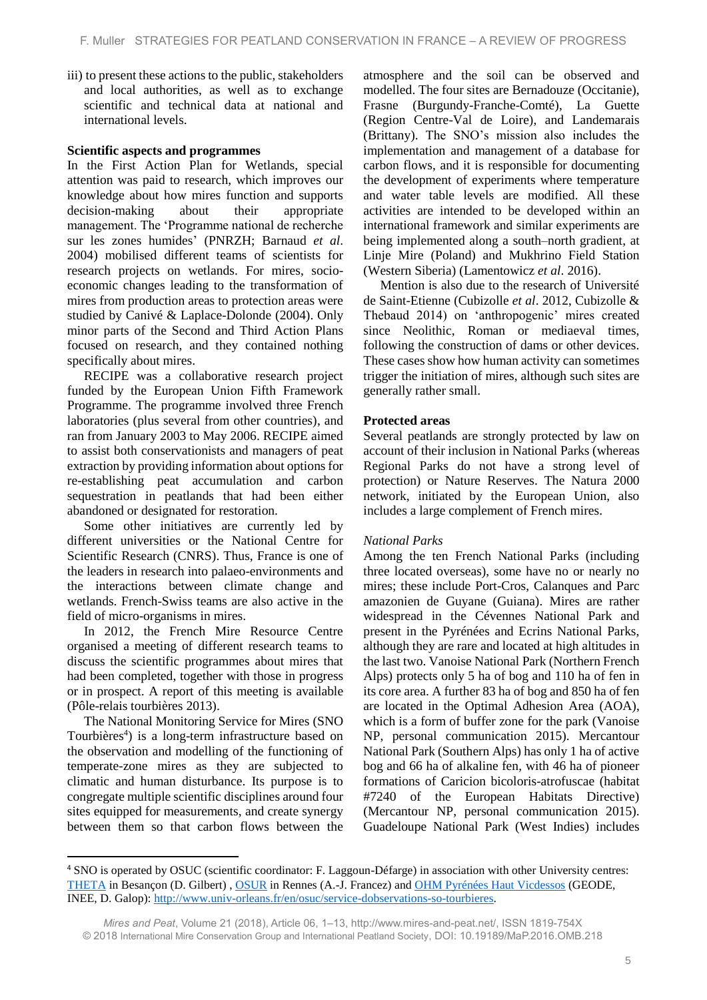iii) to present these actions to the public, stakeholders and local authorities, as well as to exchange scientific and technical data at national and international levels.

### **Scientific aspects and programmes**

In the First Action Plan for Wetlands, special attention was paid to research, which improves our knowledge about how mires function and supports decision-making about their appropriate management. The 'Programme national de recherche sur les zones humides' (PNRZH; Barnaud *et al*. 2004) mobilised different teams of scientists for research projects on wetlands. For mires, socioeconomic changes leading to the transformation of mires from production areas to protection areas were studied by Canivé & Laplace-Dolonde (2004). Only minor parts of the Second and Third Action Plans focused on research, and they contained nothing specifically about mires.

RECIPE was a collaborative research project funded by the European Union Fifth Framework Programme. The programme involved three French laboratories (plus several from other countries), and ran from January 2003 to May 2006. RECIPE aimed to assist both conservationists and managers of peat extraction by providing information about options for re-establishing peat accumulation and carbon sequestration in peatlands that had been either abandoned or designated for restoration.

Some other initiatives are currently led by different universities or the National Centre for Scientific Research (CNRS). Thus, France is one of the leaders in research into palaeo-environments and the interactions between climate change and wetlands. French-Swiss teams are also active in the field of micro-organisms in mires.

In 2012, the French Mire Resource Centre organised a meeting of different research teams to discuss the scientific programmes about mires that had been completed, together with those in progress or in prospect. A report of this meeting is available (Pôle-relais tourbières 2013).

The National Monitoring Service for Mires (SNO Tourbières<sup>4</sup>) is a long-term infrastructure based on the observation and modelling of the functioning of temperate-zone mires as they are subjected to climatic and human disturbance. Its purpose is to congregate multiple scientific disciplines around four sites equipped for measurements, and create synergy between them so that carbon flows between the

1

atmosphere and the soil can be observed and modelled. The four sites are Bernadouze (Occitanie), Frasne (Burgundy-Franche-Comté), La Guette (Region Centre-Val de Loire), and Landemarais (Brittany). The SNO's mission also includes the implementation and management of a database for carbon flows, and it is responsible for documenting the development of experiments where temperature and water table levels are modified. All these activities are intended to be developed within an international framework and similar experiments are being implemented along a south–north gradient, at Linje Mire (Poland) and Mukhrino Field Station (Western Siberia) (Lamentowicz *et al*. 2016).

Mention is also due to the research of Université de Saint-Etienne (Cubizolle *et al*. 2012, Cubizolle & Thebaud 2014) on 'anthropogenic' mires created since Neolithic, Roman or mediaeval times, following the construction of dams or other devices. These cases show how human activity can sometimes trigger the initiation of mires, although such sites are generally rather small.

### **Protected areas**

Several peatlands are strongly protected by law on account of their inclusion in National Parks (whereas Regional Parks do not have a strong level of protection) or Nature Reserves. The Natura 2000 network, initiated by the European Union, also includes a large complement of French mires.

### *National Parks*

Among the ten French National Parks (including three located overseas), some have no or nearly no mires; these include Port-Cros, Calanques and Parc amazonien de Guyane (Guiana). Mires are rather widespread in the Cévennes National Park and present in the Pyrénées and Ecrins National Parks, although they are rare and located at high altitudes in the last two. Vanoise National Park (Northern French Alps) protects only 5 ha of bog and 110 ha of fen in its core area. A further 83 ha of bog and 850 ha of fen are located in the Optimal Adhesion Area (AOA), which is a form of buffer zone for the park (Vanoise NP, personal communication 2015). Mercantour National Park (Southern Alps) has only 1 ha of active bog and 66 ha of alkaline fen, with 46 ha of pioneer formations of Caricion bicoloris-atrofuscae (habitat #7240 of the European Habitats Directive) (Mercantour NP, personal communication 2015). Guadeloupe National Park (West Indies) includes

<sup>4</sup> SNO is operated by OSUC (scientific coordinator: F. Laggoun-Défarge) in association with other University centres: [THETA](http://theta.obs-besancon.fr/) in Besançon (D. Gilbert) , [OSUR](http://osur.univ-rennes1.fr/) in Rennes (A.-J. Francez) and [OHM Pyrénées Haut Vicdessos](http://w3.ohmpyr.univ-tlse2.fr/) (GEODE, INEE, D. Galop)[: http://www.univ-orleans.fr/en/osuc/service-dobservations-so-tourbieres.](http://www.univ-orleans.fr/en/osuc/service-dobservations-so-tourbieres)

*Mires and Peat*, Volume 21 (2018), Article 06, 1–13, http://www.mires-and-peat.net/, ISSN 1819-754X © 2018 International Mire Conservation Group and International Peatland Society, DOI: 10.19189/MaP.2016.OMB.218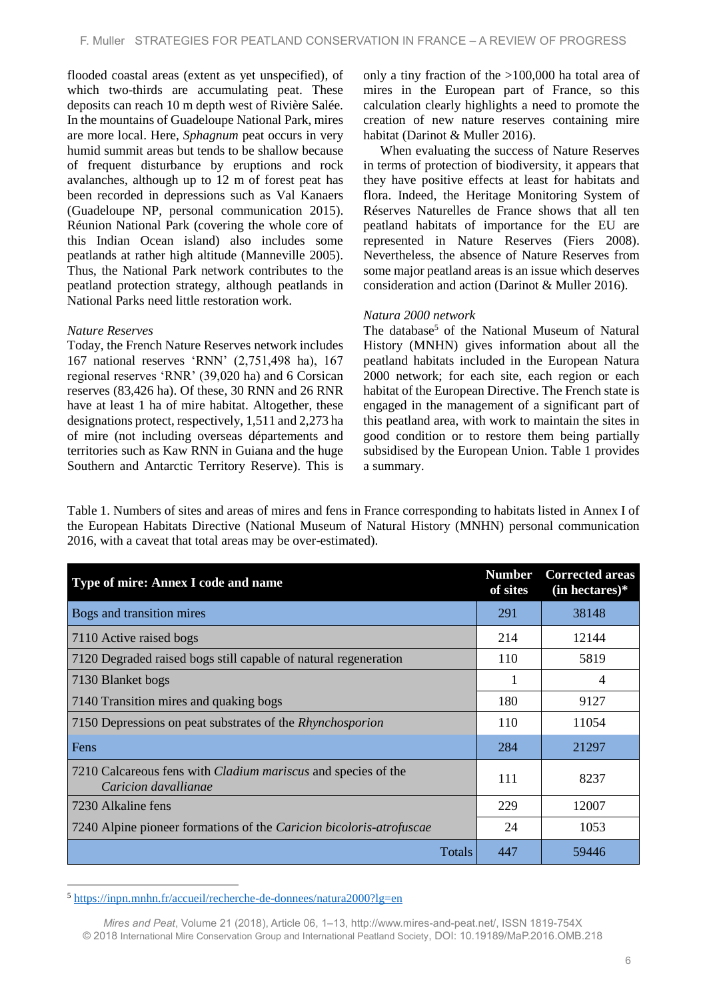flooded coastal areas (extent as yet unspecified), of which two-thirds are accumulating peat. These deposits can reach 10 m depth west of Rivière Salée. In the mountains of Guadeloupe National Park, mires are more local. Here, *Sphagnum* peat occurs in very humid summit areas but tends to be shallow because of frequent disturbance by eruptions and rock avalanches, although up to 12 m of forest peat has been recorded in depressions such as Val Kanaers (Guadeloupe NP, personal communication 2015). Réunion National Park (covering the whole core of this Indian Ocean island) also includes some peatlands at rather high altitude (Manneville 2005). Thus, the National Park network contributes to the peatland protection strategy, although peatlands in National Parks need little restoration work.

#### *Nature Reserves*

Today, the French Nature Reserves network includes 167 national reserves 'RNN' (2,751,498 ha), 167 regional reserves 'RNR' (39,020 ha) and 6 Corsican reserves (83,426 ha). Of these, 30 RNN and 26 RNR have at least 1 ha of mire habitat. Altogether, these designations protect, respectively, 1,511 and 2,273 ha of mire (not including overseas départements and territories such as Kaw RNN in Guiana and the huge Southern and Antarctic Territory Reserve). This is only a tiny fraction of the >100,000 ha total area of mires in the European part of France, so this calculation clearly highlights a need to promote the creation of new nature reserves containing mire habitat (Darinot & Muller 2016).

When evaluating the success of Nature Reserves in terms of protection of biodiversity, it appears that they have positive effects at least for habitats and flora. Indeed, the Heritage Monitoring System of Réserves Naturelles de France shows that all ten peatland habitats of importance for the EU are represented in Nature Reserves (Fiers 2008). Nevertheless, the absence of Nature Reserves from some major peatland areas is an issue which deserves consideration and action (Darinot & Muller 2016).

#### *Natura 2000 network*

The database<sup>5</sup> of the National Museum of Natural History (MNHN) gives information about all the peatland habitats included in the European Natura 2000 network; for each site, each region or each habitat of the European Directive. The French state is engaged in the management of a significant part of this peatland area, with work to maintain the sites in good condition or to restore them being partially subsidised by the European Union. Table 1 provides a summary.

Table 1. Numbers of sites and areas of mires and fens in France corresponding to habitats listed in Annex I of the European Habitats Directive (National Museum of Natural History (MNHN) personal communication 2016, with a caveat that total areas may be over-estimated).

| Type of mire: Annex I code and name                                                          |     | <b>Corrected areas</b><br>$(in$ hectares) $*$ |
|----------------------------------------------------------------------------------------------|-----|-----------------------------------------------|
| Bogs and transition mires                                                                    | 291 | 38148                                         |
| 7110 Active raised bogs                                                                      | 214 | 12144                                         |
| 7120 Degraded raised bogs still capable of natural regeneration                              | 110 | 5819                                          |
| 7130 Blanket bogs                                                                            |     | 4                                             |
| 7140 Transition mires and quaking bogs                                                       | 180 | 9127                                          |
| 7150 Depressions on peat substrates of the Rhynchosporion                                    | 110 | 11054                                         |
| Fens                                                                                         | 284 | 21297                                         |
| 7210 Calcareous fens with <i>Cladium mariscus</i> and species of the<br>Caricion davallianae |     | 8237                                          |
| 7230 Alkaline fens                                                                           | 229 | 12007                                         |
| 7240 Alpine pioneer formations of the Caricion bicoloris-atrofuscae                          | 24  | 1053                                          |
| <b>Totals</b>                                                                                | 447 | 59446                                         |

 $\overline{\phantom{a}}$ <sup>5</sup> <https://inpn.mnhn.fr/accueil/recherche-de-donnees/natura2000?lg=en>

*Mires and Peat*, Volume 21 (2018), Article 06, 1–13, http://www.mires-and-peat.net/, ISSN 1819-754X © 2018 International Mire Conservation Group and International Peatland Society, DOI: 10.19189/MaP.2016.OMB.218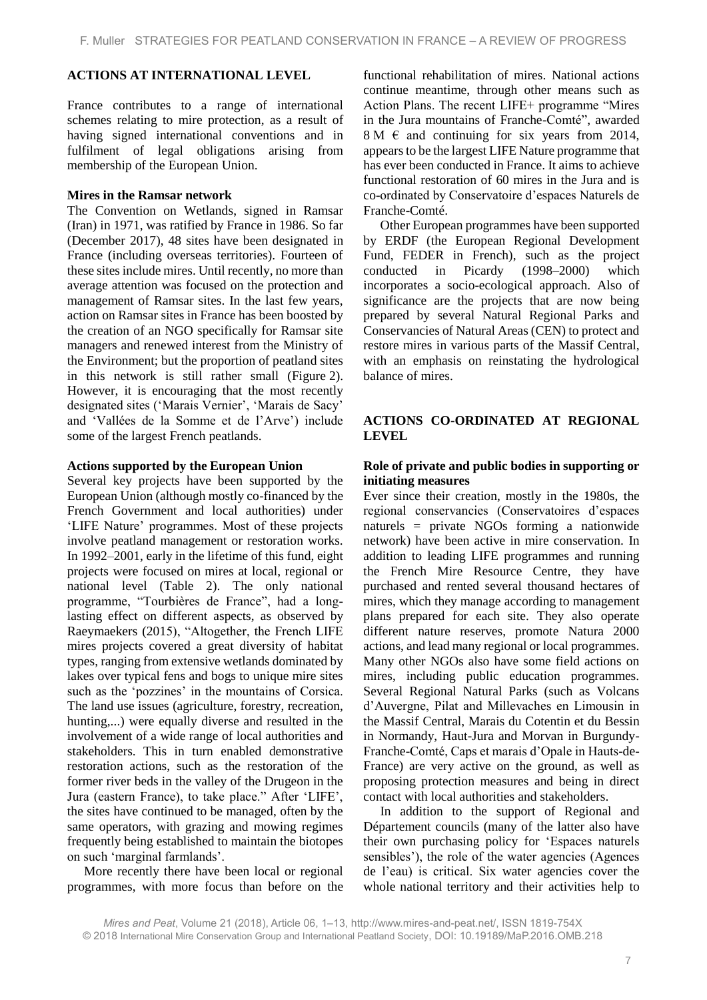### **ACTIONS AT INTERNATIONAL LEVEL**

France contributes to a range of international schemes relating to mire protection, as a result of having signed international conventions and in fulfilment of legal obligations arising from membership of the European Union.

#### **Mires in the Ramsar network**

The Convention on Wetlands, signed in Ramsar (Iran) in 1971, was ratified by France in 1986. So far (December 2017), 48 sites have been designated in France (including overseas territories). Fourteen of these sites include mires. Until recently, no more than average attention was focused on the protection and management of Ramsar sites. In the last few years, action on Ramsar sites in France has been boosted by the creation of an NGO specifically for Ramsar site managers and renewed interest from the Ministry of the Environment; but the proportion of peatland sites in this network is still rather small (Figure 2). However, it is encouraging that the most recently designated sites ('Marais Vernier', 'Marais de Sacy' and 'Vallées de la Somme et de l'Arve') include some of the largest French peatlands.

#### **Actions supported by the European Union**

Several key projects have been supported by the European Union (although mostly co-financed by the French Government and local authorities) under 'LIFE Nature' programmes. Most of these projects involve peatland management or restoration works. In 1992–2001, early in the lifetime of this fund, eight projects were focused on mires at local, regional or national level (Table 2). The only national programme, "Tourbières de France", had a longlasting effect on different aspects, as observed by Raeymaekers (2015), "Altogether, the French LIFE mires projects covered a great diversity of habitat types, ranging from extensive wetlands dominated by lakes over typical fens and bogs to unique mire sites such as the 'pozzines' in the mountains of Corsica. The land use issues (agriculture, forestry, recreation, hunting,...) were equally diverse and resulted in the involvement of a wide range of local authorities and stakeholders. This in turn enabled demonstrative restoration actions, such as the restoration of the former river beds in the valley of the Drugeon in the Jura (eastern France), to take place." After 'LIFE', the sites have continued to be managed, often by the same operators, with grazing and mowing regimes frequently being established to maintain the biotopes on such 'marginal farmlands'.

More recently there have been local or regional programmes, with more focus than before on the functional rehabilitation of mires. National actions continue meantime, through other means such as Action Plans. The recent LIFE+ programme "Mires in the Jura mountains of Franche-Comté", awarded  $8 M \text{ } \in \text{ }$  and continuing for six years from 2014, appears to be the largest LIFE Nature programme that has ever been conducted in France. It aims to achieve functional restoration of 60 mires in the Jura and is co-ordinated by Conservatoire d'espaces Naturels de Franche-Comté.

Other European programmes have been supported by ERDF (the European Regional Development Fund, FEDER in French), such as the project conducted in Picardy (1998–2000) which incorporates a socio-ecological approach. Also of significance are the projects that are now being prepared by several Natural Regional Parks and Conservancies of Natural Areas (CEN) to protect and restore mires in various parts of the Massif Central, with an emphasis on reinstating the hydrological balance of mires.

# **ACTIONS CO-ORDINATED AT REGIONAL LEVEL**

### **Role of private and public bodies in supporting or initiating measures**

Ever since their creation, mostly in the 1980s, the regional conservancies (Conservatoires d'espaces naturels = private NGOs forming a nationwide network) have been active in mire conservation. In addition to leading LIFE programmes and running the French Mire Resource Centre, they have purchased and rented several thousand hectares of mires, which they manage according to management plans prepared for each site. They also operate different nature reserves, promote Natura 2000 actions, and lead many regional or local programmes. Many other NGOs also have some field actions on mires, including public education programmes. Several Regional Natural Parks (such as Volcans d'Auvergne, Pilat and Millevaches en Limousin in the Massif Central, Marais du Cotentin et du Bessin in Normandy, Haut-Jura and Morvan in Burgundy-Franche-Comté, Caps et marais d'Opale in Hauts-de-France) are very active on the ground, as well as proposing protection measures and being in direct contact with local authorities and stakeholders.

In addition to the support of Regional and Département councils (many of the latter also have their own purchasing policy for 'Espaces naturels sensibles'), the role of the water agencies (Agences de l'eau) is critical. Six water agencies cover the whole national territory and their activities help to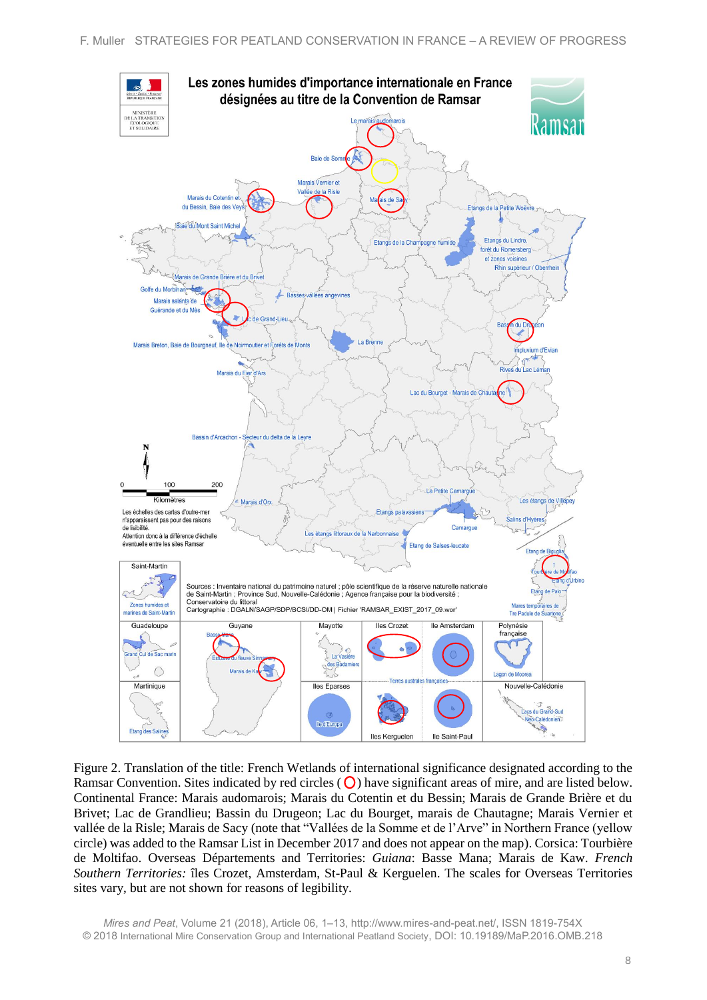

Figure 2. Translation of the title: French Wetlands of international significance designated according to the Ramsar Convention. Sites indicated by red circles  $(Q)$  have significant areas of mire, and are listed below. Continental France: Marais audomarois; Marais du Cotentin et du Bessin; Marais de Grande Brière et du Brivet; Lac de Grandlieu; Bassin du Drugeon; Lac du Bourget, marais de Chautagne; Marais Vernier et vallée de la Risle; Marais de Sacy (note that "Vallées de la Somme et de l'Arve" in Northern France (yellow circle) was added to the Ramsar List in December 2017 and does not appear on the map). Corsica: Tourbière de Moltifao. Overseas Départements and Territories: *Guiana*: Basse Mana; Marais de Kaw. *French Southern Territories:* îles Crozet, Amsterdam, St-Paul & Kerguelen. The scales for Overseas Territories sites vary, but are not shown for reasons of legibility.

*Mires and Peat*, Volume 21 (2018), Article 06, 1–13, http://www.mires-and-peat.net/, ISSN 1819-754X © 2018 International Mire Conservation Group and International Peatland Society, DOI: 10.19189/MaP.2016.OMB.218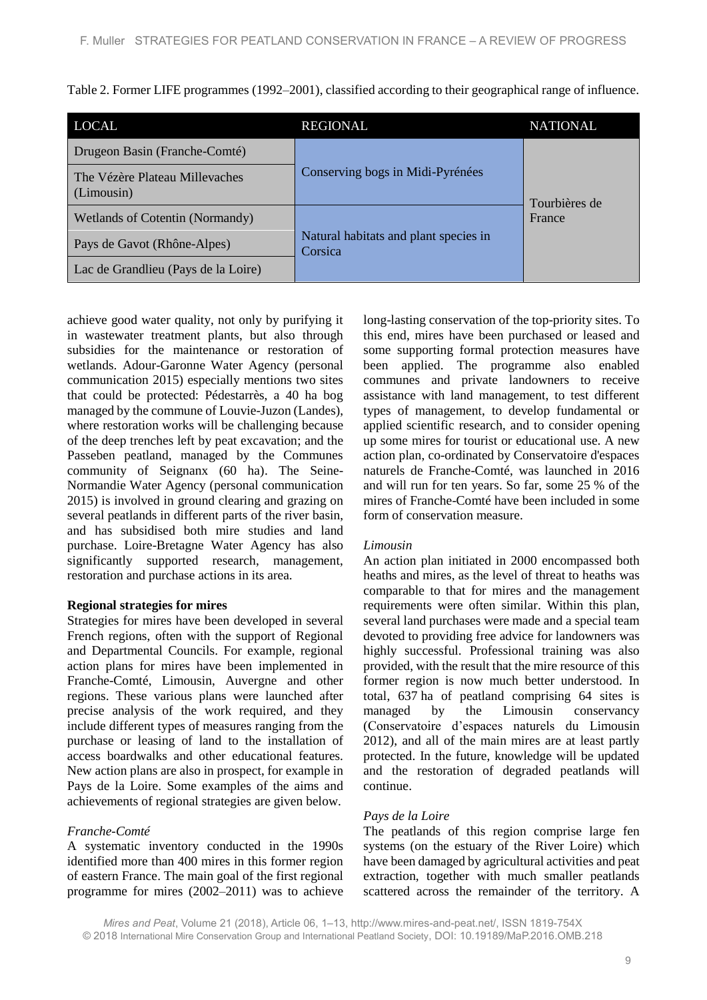Table 2. Former LIFE programmes (1992–2001), classified according to their geographical range of influence.

| <b>LOCAL</b>                                 | <b>REGIONAL</b>                                  | <b>NATIONAL</b>         |
|----------------------------------------------|--------------------------------------------------|-------------------------|
| Drugeon Basin (Franche-Comté)                |                                                  |                         |
| The Vézère Plateau Millevaches<br>(Limousin) | Conserving bogs in Midi-Pyrénées                 | Tourbières de<br>France |
| Wetlands of Cotentin (Normandy)              |                                                  |                         |
| Pays de Gavot (Rhône-Alpes)                  | Natural habitats and plant species in<br>Corsica |                         |
| Lac de Grandlieu (Pays de la Loire)          |                                                  |                         |

achieve good water quality, not only by purifying it in wastewater treatment plants, but also through subsidies for the maintenance or restoration of wetlands. Adour-Garonne Water Agency (personal communication 2015) especially mentions two sites that could be protected: Pédestarrès, a 40 ha bog managed by the commune of Louvie-Juzon (Landes), where restoration works will be challenging because of the deep trenches left by peat excavation; and the Passeben peatland, managed by the Communes community of Seignanx (60 ha). The Seine-Normandie Water Agency (personal communication 2015) is involved in ground clearing and grazing on several peatlands in different parts of the river basin, and has subsidised both mire studies and land purchase. Loire-Bretagne Water Agency has also significantly supported research, management, restoration and purchase actions in its area.

#### **Regional strategies for mires**

Strategies for mires have been developed in several French regions, often with the support of Regional and Departmental Councils. For example, regional action plans for mires have been implemented in Franche-Comté, Limousin, Auvergne and other regions. These various plans were launched after precise analysis of the work required, and they include different types of measures ranging from the purchase or leasing of land to the installation of access boardwalks and other educational features. New action plans are also in prospect, for example in Pays de la Loire. Some examples of the aims and achievements of regional strategies are given below.

### *Franche-Comté*

A systematic inventory conducted in the 1990s identified more than 400 mires in this former region of eastern France. The main goal of the first regional programme for mires (2002–2011) was to achieve long-lasting conservation of the top-priority sites. To this end, mires have been purchased or leased and some supporting formal protection measures have been applied. The programme also enabled communes and private landowners to receive assistance with land management, to test different types of management, to develop fundamental or applied scientific research, and to consider opening up some mires for tourist or educational use. A new action plan, co-ordinated by Conservatoire d'espaces naturels de Franche-Comté, was launched in 2016 and will run for ten years. So far, some 25 % of the mires of Franche-Comté have been included in some form of conservation measure.

#### *Limousin*

An action plan initiated in 2000 encompassed both heaths and mires, as the level of threat to heaths was comparable to that for mires and the management requirements were often similar. Within this plan, several land purchases were made and a special team devoted to providing free advice for landowners was highly successful. Professional training was also provided, with the result that the mire resource of this former region is now much better understood. In total, 637 ha of peatland comprising 64 sites is managed by the Limousin conservancy (Conservatoire d'espaces naturels du Limousin 2012), and all of the main mires are at least partly protected. In the future, knowledge will be updated and the restoration of degraded peatlands will continue.

### *Pays de la Loire*

The peatlands of this region comprise large fen systems (on the estuary of the River Loire) which have been damaged by agricultural activities and peat extraction, together with much smaller peatlands scattered across the remainder of the territory. A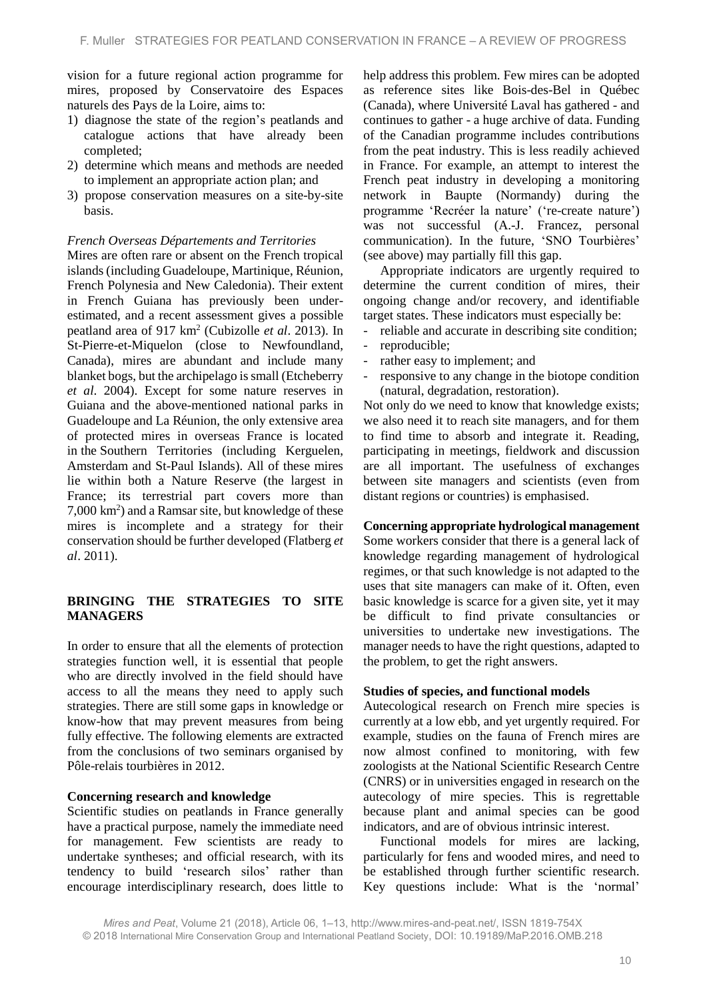vision for a future regional action programme for mires, proposed by Conservatoire des Espaces naturels des Pays de la Loire, aims to:

- 1) diagnose the state of the region's peatlands and catalogue actions that have already been completed;
- 2) determine which means and methods are needed to implement an appropriate action plan; and
- 3) propose conservation measures on a site-by-site basis.

#### *French Overseas Départements and Territories*

Mires are often rare or absent on the French tropical islands (including Guadeloupe, Martinique, Réunion, French Polynesia and New Caledonia). Their extent in French Guiana has previously been underestimated, and a recent assessment gives a possible peatland area of 917 km<sup>2</sup> (Cubizolle *et al.* 2013). In St-Pierre-et-Miquelon (close to Newfoundland, Canada), mires are abundant and include many blanket bogs, but the archipelago is small (Etcheberry *et al*. 2004). Except for some nature reserves in Guiana and the above-mentioned national parks in Guadeloupe and La Réunion, the only extensive area of protected mires in overseas France is located in the Southern Territories (including Kerguelen, Amsterdam and St-Paul Islands). All of these mires lie within both a Nature Reserve (the largest in France; its terrestrial part covers more than 7,000 km<sup>2</sup> ) and a Ramsar site, but knowledge of these mires is incomplete and a strategy for their conservation should be further developed (Flatberg *et al*. 2011).

# **BRINGING THE STRATEGIES TO SITE MANAGERS**

In order to ensure that all the elements of protection strategies function well, it is essential that people who are directly involved in the field should have access to all the means they need to apply such strategies. There are still some gaps in knowledge or know-how that may prevent measures from being fully effective. The following elements are extracted from the conclusions of two seminars organised by Pôle-relais tourbières in 2012.

### **Concerning research and knowledge**

Scientific studies on peatlands in France generally have a practical purpose, namely the immediate need for management. Few scientists are ready to undertake syntheses; and official research, with its tendency to build 'research silos' rather than encourage interdisciplinary research, does little to

help address this problem. Few mires can be adopted as reference sites like Bois-des-Bel in Québec (Canada), where Université Laval has gathered - and continues to gather - a huge archive of data. Funding of the Canadian programme includes contributions from the peat industry. This is less readily achieved in France. For example, an attempt to interest the French peat industry in developing a monitoring network in Baupte (Normandy) during the programme 'Recréer la nature' ('re-create nature') was not successful (A.-J. Francez, personal communication). In the future, 'SNO Tourbières' (see above) may partially fill this gap.

Appropriate indicators are urgently required to determine the current condition of mires, their ongoing change and/or recovery, and identifiable target states. These indicators must especially be:

- reliable and accurate in describing site condition;
- reproducible;
- rather easy to implement; and
- responsive to any change in the biotope condition (natural, degradation, restoration).

Not only do we need to know that knowledge exists; we also need it to reach site managers, and for them to find time to absorb and integrate it. Reading, participating in meetings, fieldwork and discussion are all important. The usefulness of exchanges between site managers and scientists (even from distant regions or countries) is emphasised.

# **Concerning appropriate hydrological management**

Some workers consider that there is a general lack of knowledge regarding management of hydrological regimes, or that such knowledge is not adapted to the uses that site managers can make of it. Often, even basic knowledge is scarce for a given site, yet it may be difficult to find private consultancies or universities to undertake new investigations. The manager needs to have the right questions, adapted to the problem, to get the right answers.

### **Studies of species, and functional models**

Autecological research on French mire species is currently at a low ebb, and yet urgently required. For example, studies on the fauna of French mires are now almost confined to monitoring, with few zoologists at the National Scientific Research Centre (CNRS) or in universities engaged in research on the autecology of mire species. This is regrettable because plant and animal species can be good indicators, and are of obvious intrinsic interest.

Functional models for mires are lacking, particularly for fens and wooded mires, and need to be established through further scientific research. Key questions include: What is the 'normal'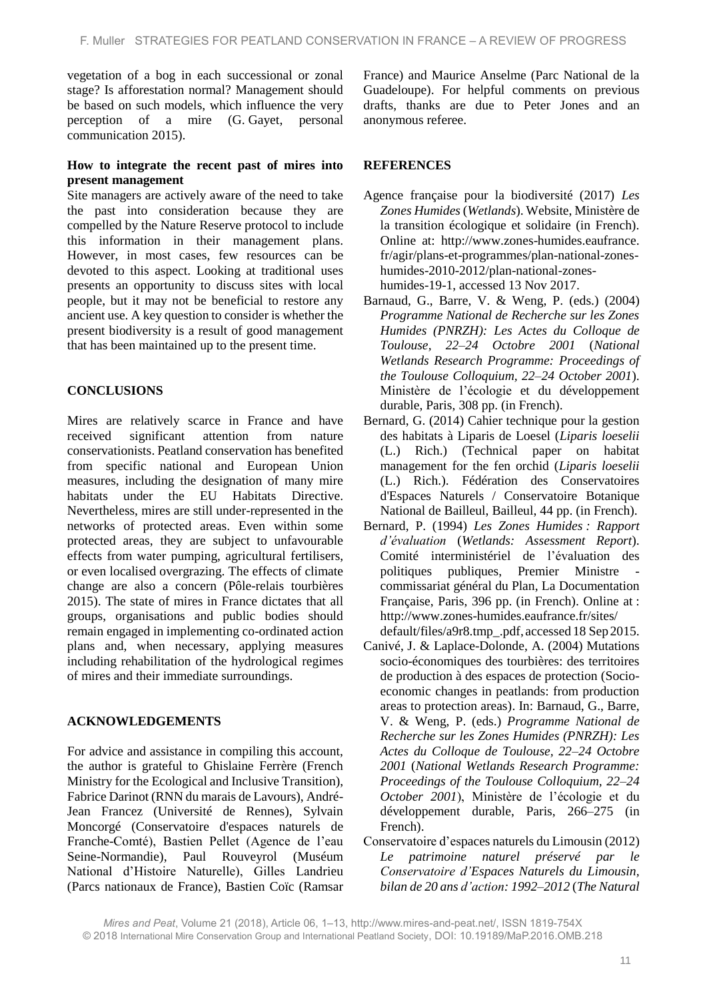vegetation of a bog in each successional or zonal stage? Is afforestation normal? Management should be based on such models, which influence the very perception of a mire (G. Gayet, personal communication 2015).

#### **How to integrate the recent past of mires into present management**

Site managers are actively aware of the need to take the past into consideration because they are compelled by the Nature Reserve protocol to include this information in their management plans. However, in most cases, few resources can be devoted to this aspect. Looking at traditional uses presents an opportunity to discuss sites with local people, but it may not be beneficial to restore any ancient use. A key question to consider is whether the present biodiversity is a result of good management that has been maintained up to the present time.

# **CONCLUSIONS**

Mires are relatively scarce in France and have received significant attention from nature conservationists. Peatland conservation has benefited from specific national and European Union measures, including the designation of many mire habitats under the EU Habitats Directive. Nevertheless, mires are still under-represented in the networks of protected areas. Even within some protected areas, they are subject to unfavourable effects from water pumping, agricultural fertilisers, or even localised overgrazing. The effects of climate change are also a concern (Pôle-relais tourbières 2015). The state of mires in France dictates that all groups, organisations and public bodies should remain engaged in implementing co-ordinated action plans and, when necessary, applying measures including rehabilitation of the hydrological regimes of mires and their immediate surroundings.

### **ACKNOWLEDGEMENTS**

For advice and assistance in compiling this account, the author is grateful to Ghislaine Ferrère (French Ministry for the Ecological and Inclusive Transition), Fabrice Darinot (RNN du marais de Lavours), André-Jean Francez (Université de Rennes), Sylvain Moncorgé (Conservatoire d'espaces naturels de Franche-Comté), Bastien Pellet (Agence de l'eau Seine-Normandie), Paul Rouveyrol (Muséum National d'Histoire Naturelle), Gilles Landrieu (Parcs nationaux de France), Bastien Coïc (Ramsar France) and Maurice Anselme (Parc National de la Guadeloupe). For helpful comments on previous drafts, thanks are due to Peter Jones and an anonymous referee.

# **REFERENCES**

- Agence française pour la biodiversité (2017) *Les Zones Humides* (*Wetlands*). Website, Ministère de la transition écologique et solidaire (in French). Online at: http://www.zones-humides.eaufrance. fr/agir/plans-et-programmes/plan-national-zoneshumides-2010-2012/plan-national-zoneshumides-19-1, accessed 13 Nov 2017.
- Barnaud, G., Barre, V. & Weng, P. (eds.) (2004) *Programme National de Recherche sur les Zones Humides (PNRZH): Les Actes du Colloque de Toulouse, 22–24 Octobre 2001* (*National Wetlands Research Programme: Proceedings of the Toulouse Colloquium, 22–24 October 2001*). Ministère de l'écologie et du développement durable, Paris, 308 pp. (in French).
- Bernard, G. (2014) Cahier technique pour la gestion des habitats à Liparis de Loesel (*Liparis loeselii* (L.) Rich.) (Technical paper on habitat management for the fen orchid (*Liparis loeselii* (L.) Rich.). Fédération des Conservatoires d'Espaces Naturels / Conservatoire Botanique National de Bailleul, Bailleul, 44 pp. (in French).
- Bernard, P. (1994) *Les Zones Humides : Rapport d'évaluation* (*Wetlands: Assessment Report*). Comité interministériel de l'évaluation des politiques publiques, Premier Ministre commissariat général du Plan, La Documentation Française, Paris, 396 pp. (in French). Online at : http://www.zones-humides.eaufrance.fr/sites/ default/files/a9r8.tmp\_.pdf, accessed 18 Sep 2015.
- Canivé, J. & Laplace-Dolonde, A. (2004) Mutations socio-économiques des tourbières: des territoires de production à des espaces de protection (Socioeconomic changes in peatlands: from production areas to protection areas). In: Barnaud, G., Barre, V. & Weng, P. (eds.) *Programme National de Recherche sur les Zones Humides (PNRZH): Les Actes du Colloque de Toulouse, 22–24 Octobre 2001* (*National Wetlands Research Programme: Proceedings of the Toulouse Colloquium, 22–24 October 2001*), Ministère de l'écologie et du développement durable, Paris, 266–275 (in French).
- Conservatoire d'espaces naturels du Limousin (2012) *Le patrimoine naturel préservé par le Conservatoire d'Espaces Naturels du Limousin, bilan de 20 ans d'action: 1992–2012* (*The Natural*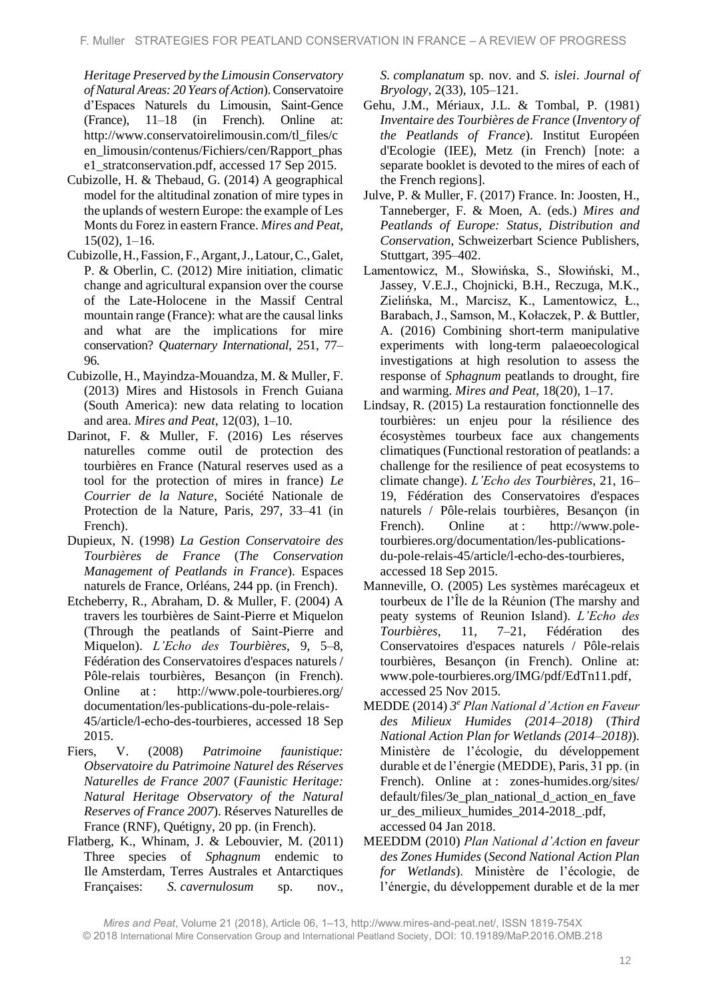*Heritage Preserved by the Limousin Conservatory of Natural Areas: 20 Years of Action*). Conservatoire d'Espaces Naturels du Limousin, Saint-Gence (France), 11–18 (in French). Online at: http://www.conservatoirelimousin.com/tl\_files/c en\_limousin/contenus/Fichiers/cen/Rapport\_phas e1\_stratconservation.pdf, accessed 17 Sep 2015.

- Cubizolle, H. & Thebaud, G. (2014) A geographical model for the altitudinal zonation of mire types in the uplands of western Europe: the example of Les Monts du Forez in eastern France. *Mires and Peat*, 15(02), 1–16.
- Cubizolle,H.,Fassion,F.,Argant,J.,Latour,C.,Galet, P. & Oberlin, C. (2012) Mire initiation, climatic change and agricultural expansion over the course of the Late-Holocene in the Massif Central mountain range (France): what are the causal links and what are the implications for mire conservation? *Quaternary International*, 251, 77– 96.
- Cubizolle, H., Mayindza-Mouandza, M. & Muller, F. (2013) Mires and Histosols in French Guiana (South America): new data relating to location and area. *Mires and Peat*, 12(03), 1–10.
- Darinot, F. & Muller, F. (2016) Les réserves naturelles comme outil de protection des tourbières en France (Natural reserves used as a tool for the protection of mires in france) *Le Courrier de la Nature*, Société Nationale de Protection de la Nature, Paris, 297, 33–41 (in French).
- Dupieux, N. (1998) *La Gestion Conservatoire des Tourbières de France* (*The Conservation Management of Peatlands in France*). Espaces naturels de France, Orléans, 244 pp. (in French).
- Etcheberry, R., Abraham, D. & Muller, F. (2004) A travers les tourbières de Saint-Pierre et Miquelon (Through the peatlands of Saint-Pierre and Miquelon). *L'Echo des Tourbières*, 9, 5–8, Fédération des Conservatoires d'espaces naturels / Pôle-relais tourbières, Besançon (in French). Online at: http://www.pole-tourbieres.org/ documentation/les-publications-du-pole-relais-45/article/l-echo-des-tourbieres, accessed 18 Sep 2015.
- Fiers, V. (2008) *Patrimoine faunistique: Observatoire du Patrimoine Naturel des Réserves Naturelles de France 2007* (*Faunistic Heritage: Natural Heritage Observatory of the Natural Reserves of France 2007*). Réserves Naturelles de France (RNF), Quétigny, 20 pp. (in French).
- Flatberg, K., Whinam, J. & Lebouvier, M. (2011) Three species of *Sphagnum* endemic to Ile Amsterdam, Terres Australes et Antarctiques Françaises: *S. cavernulosum* sp. nov.,

*S. complanatum* sp. nov. and *S. islei*. *Journal of Bryology*, 2(33), 105–121.

- Gehu, J.M., Mériaux, J.L. & Tombal, P. (1981) *Inventaire des Tourbières de France* (*Inventory of the Peatlands of France*). Institut Européen d'Ecologie (IEE), Metz (in French) [note: a separate booklet is devoted to the mires of each of the French regions].
- Julve, P. & Muller, F. (2017) France. In: Joosten, H., Tanneberger, F. & Moen, A. (eds.) *Mires and Peatlands of Europe: Status, Distribution and Conservation*, Schweizerbart Science Publishers, Stuttgart, 395–402.
- Lamentowicz, M., Słowińska, S., Słowiński, M., Jassey, V.E.J., Chojnicki, B.H., Reczuga, M.K., Zielińska, M., Marcisz, K., Lamentowicz, Ł., Barabach, J., Samson, M., Kołaczek, P. & Buttler, A. (2016) Combining short-term manipulative experiments with long-term palaeoecological investigations at high resolution to assess the response of *Sphagnum* peatlands to drought, fire and warming. *Mires and Peat*, 18(20), 1–17.
- Lindsay, R. (2015) La restauration fonctionnelle des tourbières: un enjeu pour la résilience des écosystèmes tourbeux face aux changements climatiques (Functional restoration of peatlands: a challenge for the resilience of peat ecosystems to climate change). *L'Echo des Tourbières*, 21, 16– 19, Fédération des Conservatoires d'espaces naturels / Pôle-relais tourbières, Besançon (in French). Online at : http://www.poletourbieres.org/documentation/les-publicationsdu-pole-relais-45/article/l-echo-des-tourbieres, accessed 18 Sep 2015.
- Manneville, O. (2005) Les systèmes marécageux et tourbeux de l'Île de la Réunion (The marshy and peaty systems of Reunion Island). *L'Echo des Tourbières*, 11, 7–21, Fédération des Conservatoires d'espaces naturels / Pôle-relais tourbières, Besançon (in French). Online at: www.pole-tourbieres.org/IMG/pdf/EdTn11.pdf, accessed 25 Nov 2015.
- MEDDE (2014) *3 <sup>e</sup> Plan National d'Action en Faveur des Milieux Humides (2014–2018)* (*Third National Action Plan for Wetlands (2014–2018)*). Ministère de l'écologie, du développement durable et de l'énergie (MEDDE), Paris, 31 pp. (in French). Online at : zones-humides.org/sites/ default/files/3e\_plan\_national\_d\_action\_en\_fave ur\_des\_milieux\_humides\_2014-2018\_.pdf, accessed 04 Jan 2018.
- MEEDDM (2010) *Plan National d'Action en faveur des Zones Humides* (*Second National Action Plan for Wetlands*). Ministère de l'écologie, de l'énergie, du développement durable et de la mer